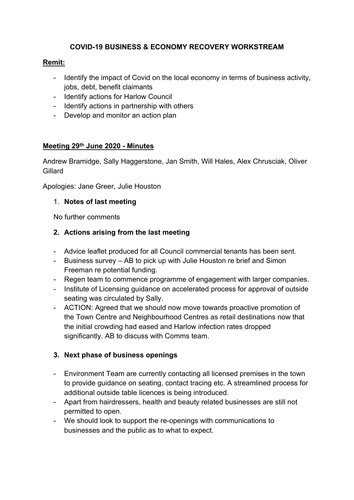### **COVID-19 BUSINESS & ECONOMY RECOVERY WORKSTREAM**

### **Remit:**

- Identify the impact of Covid on the local economy in terms of business activity, jobs, debt, benefit claimants
- Identify actions for Harlow Council
- Identify actions in partnership with others
- Develop and monitor an action plan

### **Meeting 29th June 2020 - Minutes**

Andrew Bramidge, Sally Haggerstone, Jan Smith, Will Hales, Alex Chrusciak, Oliver Gillard

Apologies: Jane Greer, Julie Houston

#### 1. **Notes of last meeting**

No further comments

#### **2. Actions arising from the last meeting**

- Advice leaflet produced for all Council commercial tenants has been sent.
- Business survey AB to pick up with Julie Houston re brief and Simon Freeman re potential funding.
- Regen team to commence programme of engagement with larger companies.
- Institute of Licensing guidance on accelerated process for approval of outside seating was circulated by Sally.
- ACTION: Agreed that we should now move towards proactive promotion of the Town Centre and Neighbourhood Centres as retail destinations now that the initial crowding had eased and Harlow infection rates dropped significantly. AB to discuss with Comms team.

#### **3. Next phase of business openings**

- Environment Team are currently contacting all licensed premises in the town to provide guidance on seating, contact tracing etc. A streamlined process for additional outside table licences is being introduced.
- Apart from hairdressers, health and beauty related businesses are still not permitted to open.
- We should look to support the re-openings with communications to businesses and the public as to what to expect.